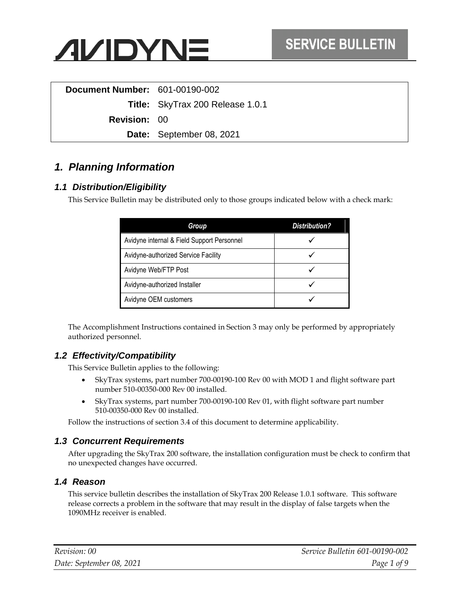

| <b>Document Number: 601-00190-002</b> |                                         |
|---------------------------------------|-----------------------------------------|
|                                       | <b>Title:</b> SkyTrax 200 Release 1.0.1 |
| <b>Revision: 00</b>                   |                                         |
|                                       | Date: September 08, 2021                |
|                                       |                                         |

# *1. Planning Information*

#### *1.1 Distribution/Eligibility*

This Service Bulletin may be distributed only to those groups indicated below with a check mark:

| Group                                      | <b>Distribution?</b> |
|--------------------------------------------|----------------------|
| Avidyne internal & Field Support Personnel |                      |
| Avidyne-authorized Service Facility        |                      |
| Avidyne Web/FTP Post                       |                      |
| Avidyne-authorized Installer               |                      |
| Avidyne OEM customers                      |                      |

The Accomplishment Instructions contained in Section [3](#page-2-0) may only be performed by appropriately authorized personnel.

#### *1.2 Effectivity/Compatibility*

This Service Bulletin applies to the following:

- SkyTrax systems, part number 700-00190-100 Rev 00 with MOD 1 and flight software part number 510-00350-000 Rev 00 installed.
- SkyTrax systems, part number 700-00190-100 Rev 01, with flight software part number 510-00350-000 Rev 00 installed.

Follow the instructions of section [3.4](#page-3-0) of this document to determine applicability.

#### *1.3 Concurrent Requirements*

After upgrading the SkyTrax 200 software, the installation configuration must be check to confirm that no unexpected changes have occurred.

#### *1.4 Reason*

This service bulletin describes the installation of SkyTrax 200 Release 1.0.1 software. This software release corrects a problem in the software that may result in the display of false targets when the 1090MHz receiver is enabled.

| Revision: 00             | Service Bulletin 601-00190-002 |
|--------------------------|--------------------------------|
| Date: September 08, 2021 | Page 1 of 9                    |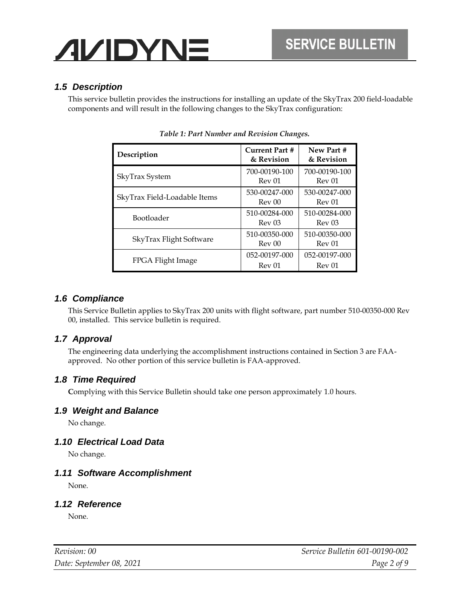#### *1.5 Description*

This service bulletin provides the instructions for installing an update of the SkyTrax 200 field-loadable components and will result in the following changes to the SkyTrax configuration:

| Description                  | <b>Current Part #</b><br>& Revision | New Part #<br>& Revision           |
|------------------------------|-------------------------------------|------------------------------------|
| SkyTrax System               | 700-00190-100<br>Rev 01             | 700-00190-100<br>Rev 01            |
| SkyTrax Field-Loadable Items | 530-00247-000<br>Rev 00             | 530-00247-000<br>Rev 01            |
| Bootloader                   | 510-00284-000<br>Rev 03             | 510-00284-000<br>Rev <sub>03</sub> |
| SkyTrax Flight Software      | 510-00350-000<br>Rev 00             | 510-00350-000<br>Rev 01            |
| FPGA Flight Image            | 052-00197-000<br>Rev 01             | 052-00197-000<br>Rev 01            |

*Table 1: Part Number and Revision Changes.*

#### *1.6 Compliance*

This Service Bulletin applies to SkyTrax 200 units with flight software, part number 510-00350-000 Rev 00, installed. This service bulletin is required.

#### *1.7 Approval*

The engineering data underlying the accomplishment instructions contained in Section 3 are FAAapproved. No other portion of this service bulletin is FAA-approved.

#### *1.8 Time Required*

**C**omplying with this Service Bulletin should take one person approximately 1.0 hours.

#### *1.9 Weight and Balance*

No change.

#### *1.10 Electrical Load Data*

No change.

#### *1.11 Software Accomplishment*

None.

#### *1.12 Reference*

None.

| Revision: 00             | <i>Service Bulletin 601-00190-002</i> |
|--------------------------|---------------------------------------|
| Date: September 08, 2021 | Page 2 of 9                           |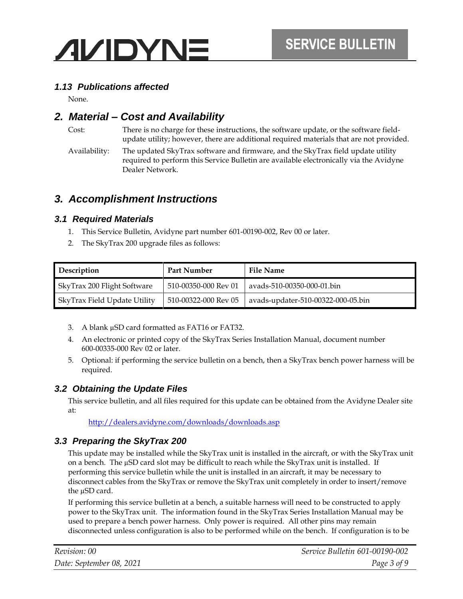

#### *1.13 Publications affected*

None.

### *2. Material – Cost and Availability*

Cost: There is no charge for these instructions, the software update, or the software fieldupdate utility; however, there are additional required materials that are not provided. Availability: The updated SkyTrax software and firmware, and the SkyTrax field update utility required to perform this Service Bulletin are available electronically via the Avidyne Dealer Network.

### <span id="page-2-0"></span>*3. Accomplishment Instructions*

#### *3.1 Required Materials*

- 1. This Service Bulletin, Avidyne part number 601-00190-002, Rev 00 or later.
- 2. The SkyTrax 200 upgrade files as follows:

| Description                  | <b>Part Number</b>   | <b>File Name</b>                   |
|------------------------------|----------------------|------------------------------------|
| SkyTrax 200 Flight Software  | 510-00350-000 Rev 01 | ayads-510-00350-000-01.bin         |
| SkyTrax Field Update Utility | 510-00322-000 Rev 05 | avads-updater-510-00322-000-05.bin |

- 3. A blank µSD card formatted as FAT16 or FAT32.
- 4. An electronic or printed copy of the SkyTrax Series Installation Manual, document number 600-00335-000 Rev 02 or later.
- 5. Optional: if performing the service bulletin on a bench, then a SkyTrax bench power harness will be required.

#### *3.2 Obtaining the Update Files*

This service bulletin, and all files required for this update can be obtained from the Avidyne Dealer site at:

[http://dealers.avidyne.com/downloads/downloads.asp](http://dealers.avidyne.com/downloads/downloads.asp?prod=tas600)

#### <span id="page-2-1"></span>*3.3 Preparing the SkyTrax 200*

This update may be installed while the SkyTrax unit is installed in the aircraft, or with the SkyTrax unit on a bench. The µSD card slot may be difficult to reach while the SkyTrax unit is installed. If performing this service bulletin while the unit is installed in an aircraft, it may be necessary to disconnect cables from the SkyTrax or remove the SkyTrax unit completely in order to insert/remove the µSD card.

If performing this service bulletin at a bench, a suitable harness will need to be constructed to apply power to the SkyTrax unit. The information found in the SkyTrax Series Installation Manual may be used to prepare a bench power harness. Only power is required. All other pins may remain disconnected unless configuration is also to be performed while on the bench. If configuration is to be

| Revision: 00             | Service Bulletin 601-00190-002 |
|--------------------------|--------------------------------|
| Date: September 08, 2021 | Page 3 of 9                    |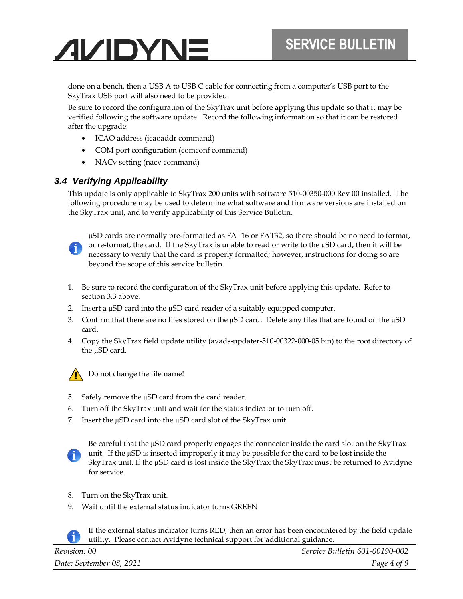done on a bench, then a USB A to USB C cable for connecting from a computer's USB port to the SkyTrax USB port will also need to be provided.

Be sure to record the configuration of the SkyTrax unit before applying this update so that it may be verified following the software update. Record the following information so that it can be restored after the upgrade:

- ICAO address (icaoaddr command)
- COM port configuration (comconf command)
- NACv setting (nacv command)

#### <span id="page-3-0"></span>*3.4 Verifying Applicability*

This update is only applicable to SkyTrax 200 units with software 510-00350-000 Rev 00 installed. The following procedure may be used to determine what software and firmware versions are installed on the SkyTrax unit, and to verify applicability of this Service Bulletin.



µSD cards are normally pre-formatted as FAT16 or FAT32, so there should be no need to format, or re-format, the card. If the SkyTrax is unable to read or write to the µSD card, then it will be necessary to verify that the card is properly formatted; however, instructions for doing so are beyond the scope of this service bulletin.

- 1. Be sure to record the configuration of the SkyTrax unit before applying this update. Refer to section [3.3](#page-2-1) [above.](#page-2-1)
- 2. Insert a µSD card into the µSD card reader of a suitably equipped computer.
- 3. Confirm that there are no files stored on the  $\mu$ SD card. Delete any files that are found on the  $\mu$ SD card.
- 4. Copy the SkyTrax field update utility (avads-updater-510-00322-000-05.bin) to the root directory of the µSD card.



Do not change the file name!

- 5. Safely remove the µSD card from the card reader.
- 6. Turn off the SkyTrax unit and wait for the status indicator to turn off.
- 7. Insert the  $\mu$ SD card into the  $\mu$ SD card slot of the SkyTrax unit.



Be careful that the µSD card properly engages the connector inside the card slot on the SkyTrax unit. If the µSD is inserted improperly it may be possible for the card to be lost inside the SkyTrax unit. If the µSD card is lost inside the SkyTrax the SkyTrax must be returned to Avidyne for service.

- 8. Turn on the SkyTrax unit.
- 9. Wait until the external status indicator turns GREEN



If the external status indicator turns RED, then an error has been encountered by the field update utility. Please contact Avidyne technical support for additional guidance.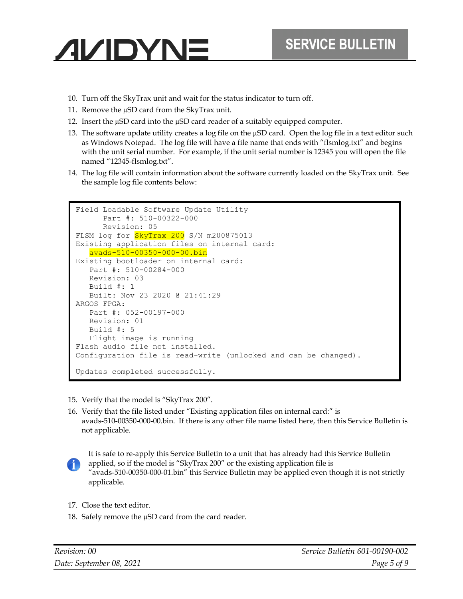- **AVIDYNE** 
	- 10. Turn off the SkyTrax unit and wait for the status indicator to turn off.
	- 11. Remove the µSD card from the SkyTrax unit.
	- 12. Insert the µSD card into the µSD card reader of a suitably equipped computer.
	- 13. The software update utility creates a log file on the µSD card. Open the log file in a text editor such as Windows Notepad. The log file will have a file name that ends with "flsmlog.txt" and begins with the unit serial number. For example, if the unit serial number is 12345 you will open the file named "12345-flsmlog.txt".
	- 14. The log file will contain information about the software currently loaded on the SkyTrax unit. See the sample log file contents below:

```
Field Loadable Software Update Utility
     Part #: 510-00322-000
     Revision: 05
FLSM log for SkyTrax 200 S/N m200875013
Existing application files on internal card:
   avads-510-00350-000-00.bin
Existing bootloader on internal card:
   Part #: 510-00284-000
   Revision: 03
   Build #: 1
   Built: Nov 23 2020 @ 21:41:29
ARGOS FPGA:
   Part #: 052-00197-000
   Revision: 01
   Build #: 5
  Flight image is running
Flash audio file not installed.
Configuration file is read-write (unlocked and can be changed).
Updates completed successfully.
```
- 15. Verify that the model is "SkyTrax 200".
- 16. Verify that the file listed under "Existing application files on internal card:" is avads-510-00350-000-00.bin. If there is any other file name listed here, then this Service Bulletin is not applicable.



It is safe to re-apply this Service Bulletin to a unit that has already had this Service Bulletin applied, so if the model is "SkyTrax 200" or the existing application file is "avads-510-00350-000-01.bin" this Service Bulletin may be applied even though it is not strictly applicable.

- 17. Close the text editor.
- 18. Safely remove the  $\mu$ SD card from the card reader.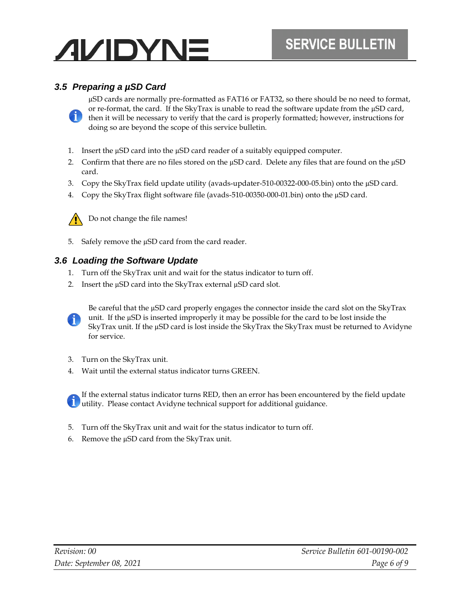### *3.5 Preparing a µSD Card*

µSD cards are normally pre-formatted as FAT16 or FAT32, so there should be no need to format, or re-format, the card. If the SkyTrax is unable to read the software update from the µSD card, then it will be necessary to verify that the card is properly formatted; however, instructions for doing so are beyond the scope of this service bulletin.

- 1. Insert the µSD card into the µSD card reader of a suitably equipped computer.
- 2. Confirm that there are no files stored on the  $\mu$ SD card. Delete any files that are found on the  $\mu$ SD card.
- 3. Copy the SkyTrax field update utility (avads-updater-510-00322-000-05.bin) onto the µSD card.
- 4. Copy the SkyTrax flight software file (avads-510-00350-000-01.bin) onto the µSD card.



Do not change the file names!

5. Safely remove the µSD card from the card reader.

#### <span id="page-5-0"></span>*3.6 Loading the Software Update*

- 1. Turn off the SkyTrax unit and wait for the status indicator to turn off.
- 2. Insert the µSD card into the SkyTrax external µSD card slot.



Be careful that the µSD card properly engages the connector inside the card slot on the SkyTrax unit. If the  $\mu$ SD is inserted improperly it may be possible for the card to be lost inside the SkyTrax unit. If the µSD card is lost inside the SkyTrax the SkyTrax must be returned to Avidyne for service.

- 3. Turn on the SkyTrax unit.
- 4. Wait until the external status indicator turns GREEN.

If the external status indicator turns RED, then an error has been encountered by the field update **U** utility. Please contact Avidyne technical support for additional guidance.

- 5. Turn off the SkyTrax unit and wait for the status indicator to turn off.
- 6. Remove the µSD card from the SkyTrax unit.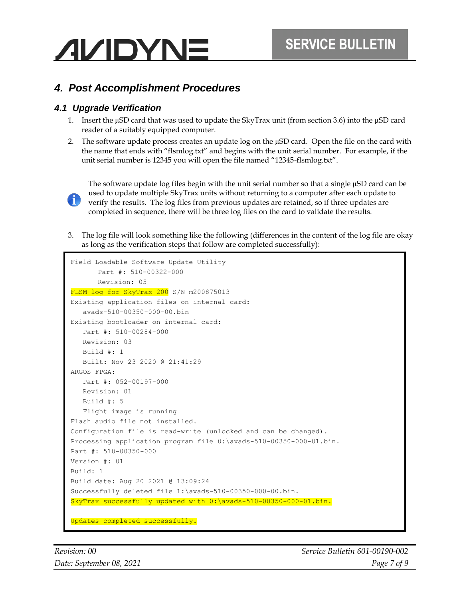# *4. Post Accomplishment Procedures*

#### *4.1 Upgrade Verification*

- 1. Insert the µSD card that was used to update the SkyTrax unit (from section [3.6\)](#page-5-0) into the µSD card reader of a suitably equipped computer.
- 2. The software update process creates an update log on the  $\mu$ SD card. Open the file on the card with the name that ends with "flsmlog.txt" and begins with the unit serial number. For example, if the unit serial number is 12345 you will open the file named "12345-flsmlog.txt".



The software update log files begin with the unit serial number so that a single µSD card can be used to update multiple SkyTrax units without returning to a computer after each update to verify the results. The log files from previous updates are retained, so if three updates are completed in sequence, there will be three log files on the card to validate the results.

3. The log file will look something like the following (differences in the content of the log file are okay as long as the verification steps that follow are completed successfully):

```
Field Loadable Software Update Utility
       Part #: 510-00322-000
       Revision: 05
FLSM log for SkyTrax 200 S/N m200875013
Existing application files on internal card:
    avads-510-00350-000-00.bin
Existing bootloader on internal card:
    Part #: 510-00284-000
    Revision: 03
    Build #: 1
    Built: Nov 23 2020 @ 21:41:29
ARGOS FPGA:
    Part #: 052-00197-000
    Revision: 01
    Build #: 5
    Flight image is running
Flash audio file not installed.
Configuration file is read-write (unlocked and can be changed).
Processing application program file 0:\avads-510-00350-000-01.bin.
Part #: 510-00350-000 
Version #: 01 
Build: 1 
Build date: Aug 20 2021 @ 13:09:24 
Successfully deleted file 1:\avads-510-00350-000-00.bin.
SkyTrax successfully updated with 0:\avads-510-00350-000-01.bin.
Updates completed successfully.
```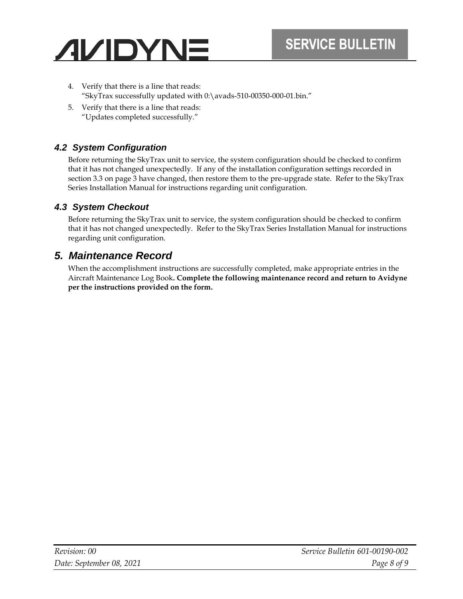- 4. Verify that there is a line that reads: "SkyTrax successfully updated with 0:\avads-510-00350-000-01.bin."
- 5. Verify that there is a line that reads: "Updates completed successfully."

### *4.2 System Configuration*

Before returning the SkyTrax unit to service, the system configuration should be checked to confirm that it has not changed unexpectedly. If any of the installation configuration settings recorded in section [3.3](#page-2-1) on page [3](#page-2-1) have changed, then restore them to the pre-upgrade state. Refer to the SkyTrax Series Installation Manual for instructions regarding unit configuration.

### *4.3 System Checkout*

Before returning the SkyTrax unit to service, the system configuration should be checked to confirm that it has not changed unexpectedly. Refer to the SkyTrax Series Installation Manual for instructions regarding unit configuration.

# *5. Maintenance Record*

When the accomplishment instructions are successfully completed, make appropriate entries in the Aircraft Maintenance Log Book**. Complete the following maintenance record and return to Avidyne per the instructions provided on the form.**